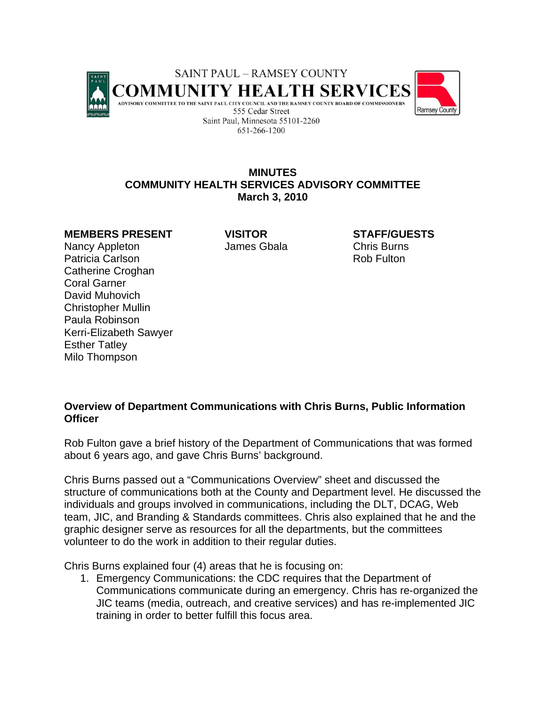

## **MINUTES COMMUNITY HEALTH SERVICES ADVISORY COMMITTEE March 3, 2010**

## **MEMBERS PRESENT VISITOR STAFF/GUESTS**

Nancy Appleton **James Gbala** Chris Burns Patricia Carlson **Rob Fulton** Rob Fulton Catherine Croghan Coral Garner David Muhovich Christopher Mullin Paula Robinson Kerri-Elizabeth Sawyer Esther Tatley Milo Thompson

## **Overview of Department Communications with Chris Burns, Public Information Officer**

Rob Fulton gave a brief history of the Department of Communications that was formed about 6 years ago, and gave Chris Burns' background.

Chris Burns passed out a "Communications Overview" sheet and discussed the structure of communications both at the County and Department level. He discussed the individuals and groups involved in communications, including the DLT, DCAG, Web team, JIC, and Branding & Standards committees. Chris also explained that he and the graphic designer serve as resources for all the departments, but the committees volunteer to do the work in addition to their regular duties.

Chris Burns explained four (4) areas that he is focusing on:

1. Emergency Communications: the CDC requires that the Department of Communications communicate during an emergency. Chris has re-organized the JIC teams (media, outreach, and creative services) and has re-implemented JIC training in order to better fulfill this focus area.